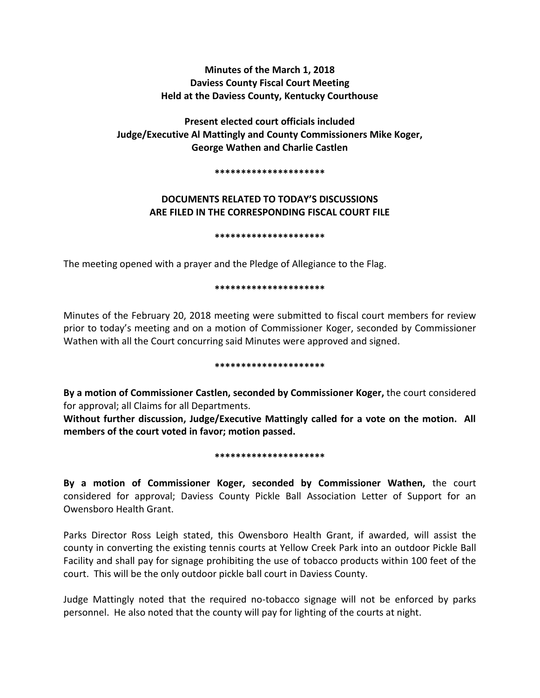# **Minutes of the March 1, 2018 Daviess County Fiscal Court Meeting Held at the Daviess County, Kentucky Courthouse**

**Present elected court officials included Judge/Executive Al Mattingly and County Commissioners Mike Koger, George Wathen and Charlie Castlen** 

**\*\*\*\*\*\*\*\*\*\*\*\*\*\*\*\*\*\*\*\*\***

# **DOCUMENTS RELATED TO TODAY'S DISCUSSIONS ARE FILED IN THE CORRESPONDING FISCAL COURT FILE**

**\*\*\*\*\*\*\*\*\*\*\*\*\*\*\*\*\*\*\*\*\***

The meeting opened with a prayer and the Pledge of Allegiance to the Flag.

## **\*\*\*\*\*\*\*\*\*\*\*\*\*\*\*\*\*\*\*\*\***

Minutes of the February 20, 2018 meeting were submitted to fiscal court members for review prior to today's meeting and on a motion of Commissioner Koger, seconded by Commissioner Wathen with all the Court concurring said Minutes were approved and signed.

### **\*\*\*\*\*\*\*\*\*\*\*\*\*\*\*\*\*\*\*\*\***

**By a motion of Commissioner Castlen, seconded by Commissioner Koger,** the court considered for approval; all Claims for all Departments.

**Without further discussion, Judge/Executive Mattingly called for a vote on the motion. All members of the court voted in favor; motion passed.** 

## **\*\*\*\*\*\*\*\*\*\*\*\*\*\*\*\*\*\*\*\*\***

**By a motion of Commissioner Koger, seconded by Commissioner Wathen,** the court considered for approval; Daviess County Pickle Ball Association Letter of Support for an Owensboro Health Grant.

Parks Director Ross Leigh stated, this Owensboro Health Grant, if awarded, will assist the county in converting the existing tennis courts at Yellow Creek Park into an outdoor Pickle Ball Facility and shall pay for signage prohibiting the use of tobacco products within 100 feet of the court. This will be the only outdoor pickle ball court in Daviess County.

Judge Mattingly noted that the required no-tobacco signage will not be enforced by parks personnel. He also noted that the county will pay for lighting of the courts at night.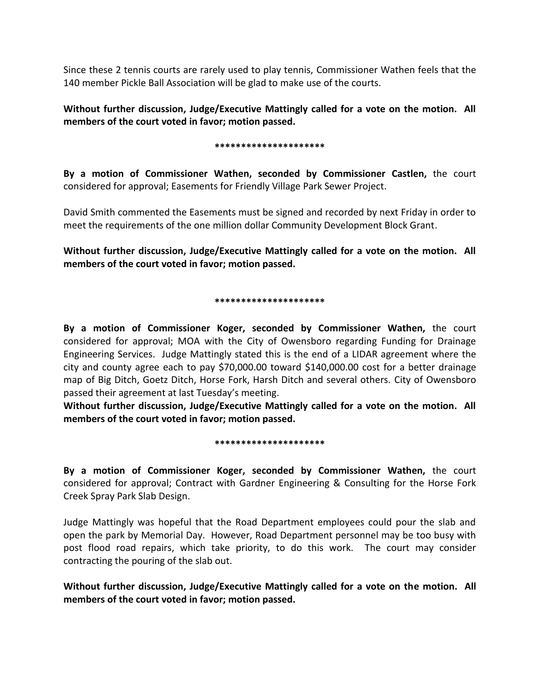Since these 2 tennis courts are rarely used to play tennis, Commissioner Wathen feels that the 140 member Pickle Ball Association will be glad to make use of the courts.

**Without further discussion, Judge/Executive Mattingly called for a vote on the motion. All members of the court voted in favor; motion passed.** 

### **\*\*\*\*\*\*\*\*\*\*\*\*\*\*\*\*\*\*\*\*\***

**By a motion of Commissioner Wathen, seconded by Commissioner Castlen,** the court considered for approval; Easements for Friendly Village Park Sewer Project.

David Smith commented the Easements must be signed and recorded by next Friday in order to meet the requirements of the one million dollar Community Development Block Grant.

**Without further discussion, Judge/Executive Mattingly called for a vote on the motion. All members of the court voted in favor; motion passed.** 

## **\*\*\*\*\*\*\*\*\*\*\*\*\*\*\*\*\*\*\*\*\***

**By a motion of Commissioner Koger, seconded by Commissioner Wathen,** the court considered for approval; MOA with the City of Owensboro regarding Funding for Drainage Engineering Services. Judge Mattingly stated this is the end of a LIDAR agreement where the city and county agree each to pay \$70,000.00 toward \$140,000.00 cost for a better drainage map of Big Ditch, Goetz Ditch, Horse Fork, Harsh Ditch and several others. City of Owensboro passed their agreement at last Tuesday's meeting.

**Without further discussion, Judge/Executive Mattingly called for a vote on the motion. All members of the court voted in favor; motion passed.** 

### **\*\*\*\*\*\*\*\*\*\*\*\*\*\*\*\*\*\*\*\*\***

**By a motion of Commissioner Koger, seconded by Commissioner Wathen,** the court considered for approval; Contract with Gardner Engineering & Consulting for the Horse Fork Creek Spray Park Slab Design.

Judge Mattingly was hopeful that the Road Department employees could pour the slab and open the park by Memorial Day. However, Road Department personnel may be too busy with post flood road repairs, which take priority, to do this work. The court may consider contracting the pouring of the slab out.

**Without further discussion, Judge/Executive Mattingly called for a vote on the motion. All members of the court voted in favor; motion passed.**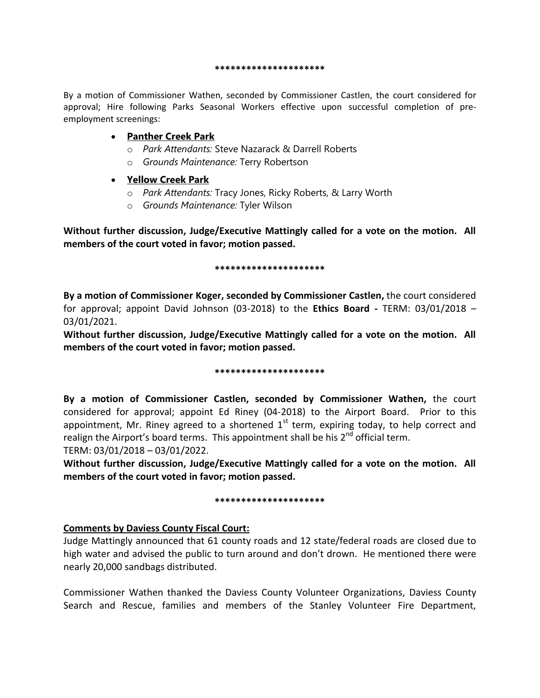**\*\*\*\*\*\*\*\*\*\*\*\*\*\*\*\*\*\*\*\*\***

By a motion of Commissioner Wathen, seconded by Commissioner Castlen, the court considered for approval; Hire following Parks Seasonal Workers effective upon successful completion of preemployment screenings:

## **Panther Creek Park**

- o *Park Attendants:* Steve Nazarack & Darrell Roberts
- o *Grounds Maintenance:* Terry Robertson

## **Yellow Creek Park**

- o *Park Attendants:* Tracy Jones, Ricky Roberts, & Larry Worth
- o *Grounds Maintenance:* Tyler Wilson

**Without further discussion, Judge/Executive Mattingly called for a vote on the motion. All members of the court voted in favor; motion passed.** 

## **\*\*\*\*\*\*\*\*\*\*\*\*\*\*\*\*\*\*\*\*\***

**By a motion of Commissioner Koger, seconded by Commissioner Castlen,** the court considered for approval; appoint David Johnson (03-2018) to the **Ethics Board -** TERM: 03/01/2018 – 03/01/2021.

**Without further discussion, Judge/Executive Mattingly called for a vote on the motion. All members of the court voted in favor; motion passed.** 

## **\*\*\*\*\*\*\*\*\*\*\*\*\*\*\*\*\*\*\*\*\***

**By a motion of Commissioner Castlen, seconded by Commissioner Wathen,** the court considered for approval; appoint Ed Riney (04-2018) to the Airport Board. Prior to this appointment, Mr. Riney agreed to a shortened  $1<sup>st</sup>$  term, expiring today, to help correct and realign the Airport's board terms. This appointment shall be his 2<sup>nd</sup> official term.

TERM: 03/01/2018 – 03/01/2022.

**Without further discussion, Judge/Executive Mattingly called for a vote on the motion. All members of the court voted in favor; motion passed.** 

## **\*\*\*\*\*\*\*\*\*\*\*\*\*\*\*\*\*\*\*\*\***

## **Comments by Daviess County Fiscal Court:**

Judge Mattingly announced that 61 county roads and 12 state/federal roads are closed due to high water and advised the public to turn around and don't drown. He mentioned there were nearly 20,000 sandbags distributed.

Commissioner Wathen thanked the Daviess County Volunteer Organizations, Daviess County Search and Rescue, families and members of the Stanley Volunteer Fire Department,